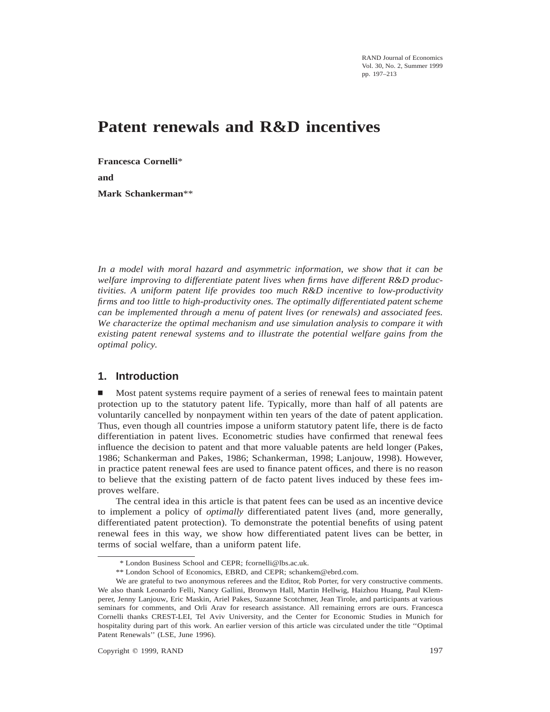RAND Journal of Economics Vol. 30, No. 2, Summer 1999 pp. 197–213

# **Patent renewals and R&D incentives**

**Francesca Cornelli**\* **and Mark Schankerman**\*\*

*In a model with moral hazard and asymmetric information, we show that it can be welfare improving to differentiate patent lives when firms have different R&D productivities. A uniform patent life provides too much R&D incentive to low-productivity firms and too little to high-productivity ones. The optimally differentiated patent scheme can be implemented through a menu of patent lives (or renewals) and associated fees. We characterize the optimal mechanism and use simulation analysis to compare it with existing patent renewal systems and to illustrate the potential welfare gains from the optimal policy.*

# **1. Introduction**

n Most patent systems require payment of a series of renewal fees to maintain patent protection up to the statutory patent life. Typically, more than half of all patents are voluntarily cancelled by nonpayment within ten years of the date of patent application. Thus, even though all countries impose a uniform statutory patent life, there is de facto differentiation in patent lives. Econometric studies have confirmed that renewal fees influence the decision to patent and that more valuable patents are held longer (Pakes, 1986; Schankerman and Pakes, 1986; Schankerman, 1998; Lanjouw, 1998). However, in practice patent renewal fees are used to finance patent offices, and there is no reason to believe that the existing pattern of de facto patent lives induced by these fees improves welfare.

The central idea in this article is that patent fees can be used as an incentive device to implement a policy of *optimally* differentiated patent lives (and, more generally, differentiated patent protection). To demonstrate the potential benefits of using patent renewal fees in this way, we show how differentiated patent lives can be better, in terms of social welfare, than a uniform patent life.

<sup>\*</sup> London Business School and CEPR; fcornelli@lbs.ac.uk.

<sup>\*\*</sup> London School of Economics, EBRD, and CEPR; schankem@ebrd.com.

We are grateful to two anonymous referees and the Editor, Rob Porter, for very constructive comments. We also thank Leonardo Felli, Nancy Gallini, Bronwyn Hall, Martin Hellwig, Haizhou Huang, Paul Klemperer, Jenny Lanjouw, Eric Maskin, Ariel Pakes, Suzanne Scotchmer, Jean Tirole, and participants at various seminars for comments, and Orli Arav for research assistance. All remaining errors are ours. Francesca Cornelli thanks CREST-LEI, Tel Aviv University, and the Center for Economic Studies in Munich for hospitality during part of this work. An earlier version of this article was circulated under the title ''Optimal Patent Renewals'' (LSE, June 1996).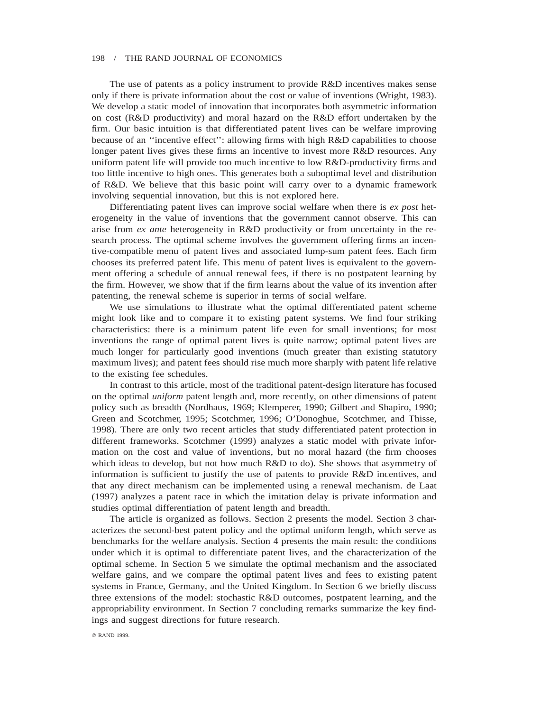The use of patents as a policy instrument to provide R&D incentives makes sense only if there is private information about the cost or value of inventions (Wright, 1983). We develop a static model of innovation that incorporates both asymmetric information on cost (R&D productivity) and moral hazard on the R&D effort undertaken by the firm. Our basic intuition is that differentiated patent lives can be welfare improving because of an ''incentive effect'': allowing firms with high R&D capabilities to choose longer patent lives gives these firms an incentive to invest more R&D resources. Any uniform patent life will provide too much incentive to low R&D-productivity firms and too little incentive to high ones. This generates both a suboptimal level and distribution of R&D. We believe that this basic point will carry over to a dynamic framework involving sequential innovation, but this is not explored here.

Differentiating patent lives can improve social welfare when there is *ex post* heterogeneity in the value of inventions that the government cannot observe. This can arise from *ex ante* heterogeneity in R&D productivity or from uncertainty in the research process. The optimal scheme involves the government offering firms an incentive-compatible menu of patent lives and associated lump-sum patent fees. Each firm chooses its preferred patent life. This menu of patent lives is equivalent to the government offering a schedule of annual renewal fees, if there is no postpatent learning by the firm. However, we show that if the firm learns about the value of its invention after patenting, the renewal scheme is superior in terms of social welfare.

We use simulations to illustrate what the optimal differentiated patent scheme might look like and to compare it to existing patent systems. We find four striking characteristics: there is a minimum patent life even for small inventions; for most inventions the range of optimal patent lives is quite narrow; optimal patent lives are much longer for particularly good inventions (much greater than existing statutory maximum lives); and patent fees should rise much more sharply with patent life relative to the existing fee schedules.

In contrast to this article, most of the traditional patent-design literature has focused on the optimal *uniform* patent length and, more recently, on other dimensions of patent policy such as breadth (Nordhaus, 1969; Klemperer, 1990; Gilbert and Shapiro, 1990; Green and Scotchmer, 1995; Scotchmer, 1996; O'Donoghue, Scotchmer, and Thisse, 1998). There are only two recent articles that study differentiated patent protection in different frameworks. Scotchmer (1999) analyzes a static model with private information on the cost and value of inventions, but no moral hazard (the firm chooses which ideas to develop, but not how much R&D to do). She shows that asymmetry of information is sufficient to justify the use of patents to provide R&D incentives, and that any direct mechanism can be implemented using a renewal mechanism. de Laat (1997) analyzes a patent race in which the imitation delay is private information and studies optimal differentiation of patent length and breadth.

The article is organized as follows. Section 2 presents the model. Section 3 characterizes the second-best patent policy and the optimal uniform length, which serve as benchmarks for the welfare analysis. Section 4 presents the main result: the conditions under which it is optimal to differentiate patent lives, and the characterization of the optimal scheme. In Section 5 we simulate the optimal mechanism and the associated welfare gains, and we compare the optimal patent lives and fees to existing patent systems in France, Germany, and the United Kingdom. In Section 6 we briefly discuss three extensions of the model: stochastic R&D outcomes, postpatent learning, and the appropriability environment. In Section 7 concluding remarks summarize the key findings and suggest directions for future research.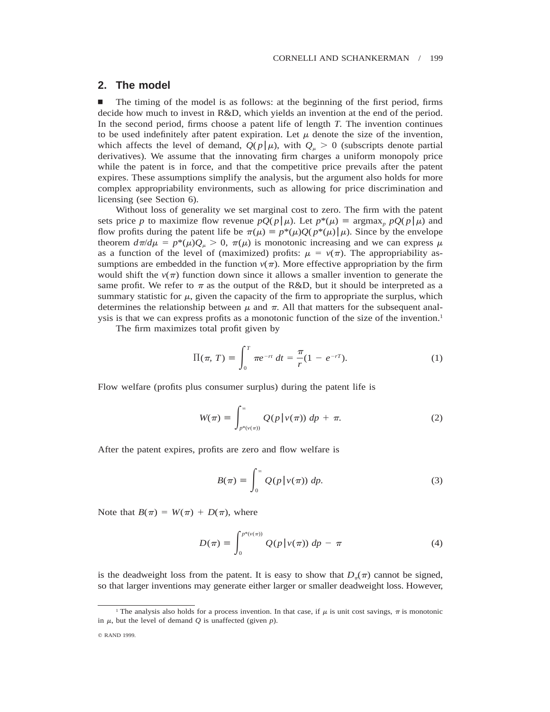# **2. The model**

n The timing of the model is as follows: at the beginning of the first period, firms decide how much to invest in R&D, which yields an invention at the end of the period. In the second period, firms choose a patent life of length *T.* The invention continues to be used indefinitely after patent expiration. Let  $\mu$  denote the size of the invention, which affects the level of demand,  $Q(p|\mu)$ , with  $Q_\mu > 0$  (subscripts denote partial derivatives). We assume that the innovating firm charges a uniform monopoly price while the patent is in force, and that the competitive price prevails after the patent expires. These assumptions simplify the analysis, but the argument also holds for more complex appropriability environments, such as allowing for price discrimination and licensing (see Section 6).

Without loss of generality we set marginal cost to zero. The firm with the patent sets price *p* to maximize flow revenue  $pQ(p|\mu)$ . Let  $p^*(\mu) \equiv \argmax_p pQ(p|\mu)$  and flow profits during the patent life be  $\pi(\mu) \equiv p^*(\mu)Q(p^*(\mu)|\mu)$ . Since by the envelope theorem  $d\pi/d\mu = p^*(\mu)Q_\mu > 0$ ,  $\pi(\mu)$  is monotonic increasing and we can express  $\mu$ as a function of the level of (maximized) profits:  $\mu = v(\pi)$ . The appropriability assumptions are embedded in the function  $v(\pi)$ . More effective appropriation by the firm would shift the  $v(\pi)$  function down since it allows a smaller invention to generate the same profit. We refer to  $\pi$  as the output of the R&D, but it should be interpreted as a summary statistic for  $\mu$ , given the capacity of the firm to appropriate the surplus, which determines the relationship between  $\mu$  and  $\pi$ . All that matters for the subsequent analysis is that we can express profits as a monotonic function of the size of the invention.1

The firm maximizes total profit given by

$$
\Pi(\pi, T) \equiv \int_0^T \pi e^{-rt} dt = \frac{\pi}{r} (1 - e^{-rT}).
$$
 (1)

Flow welfare (profits plus consumer surplus) during the patent life is

$$
W(\pi) \equiv \int_{p^*(v(\pi))}^{\infty} Q(p | v(\pi)) dp + \pi.
$$
 (2)

After the patent expires, profits are zero and flow welfare is

$$
B(\pi) \equiv \int_0^\infty Q(p | v(\pi)) \, dp. \tag{3}
$$

Note that  $B(\pi) = W(\pi) + D(\pi)$ , where

$$
D(\pi) \equiv \int_0^{p^*(v(\pi))} Q(p|v(\pi)) dp - \pi \tag{4}
$$

is the deadweight loss from the patent. It is easy to show that  $D_{\pi}(\pi)$  cannot be signed, so that larger inventions may generate either larger or smaller deadweight loss. However,

<sup>&</sup>lt;sup>1</sup> The analysis also holds for a process invention. In that case, if  $\mu$  is unit cost savings,  $\pi$  is monotonic in  $\mu$ , but the level of demand  $Q$  is unaffected (given  $p$ ).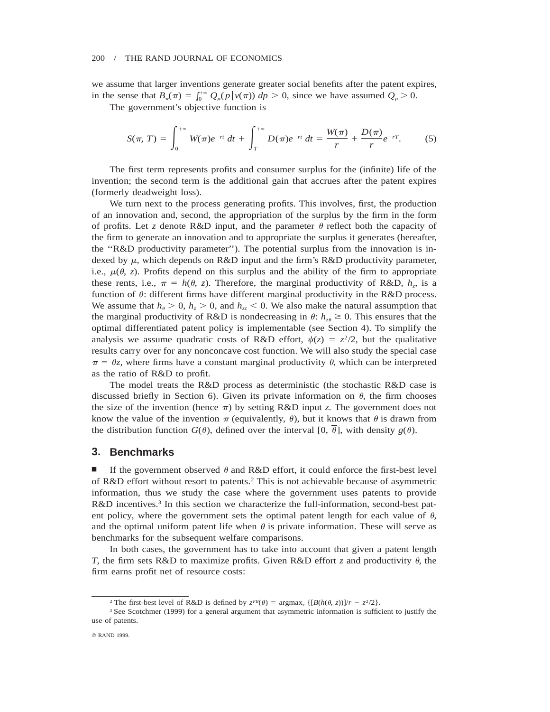we assume that larger inventions generate greater social benefits after the patent expires, in the sense that  $B_{\pi}(\pi) = \int_0^{+\infty} Q_{\mu}(p | v(\pi)) dp > 0$ , since we have assumed  $Q_{\mu} > 0$ .

The government's objective function is

$$
S(\pi, T) = \int_0^{+\infty} W(\pi) e^{-rt} dt + \int_T^{+\infty} D(\pi) e^{-rt} dt = \frac{W(\pi)}{r} + \frac{D(\pi)}{r} e^{-rT}.
$$
 (5)

The first term represents profits and consumer surplus for the (infinite) life of the invention; the second term is the additional gain that accrues after the patent expires (formerly deadweight loss).

We turn next to the process generating profits. This involves, first, the production of an innovation and, second, the appropriation of the surplus by the firm in the form of profits. Let *z* denote R&D input, and the parameter  $\theta$  reflect both the capacity of the firm to generate an innovation and to appropriate the surplus it generates (hereafter, the ''R&D productivity parameter''). The potential surplus from the innovation is indexed by  $\mu$ , which depends on R&D input and the firm's R&D productivity parameter, i.e.,  $\mu(\theta, z)$ . Profits depend on this surplus and the ability of the firm to appropriate these rents, i.e.,  $\pi = h(\theta, z)$ . Therefore, the marginal productivity of R&D,  $h_z$ , is a function of  $\theta$ : different firms have different marginal productivity in the R&D process. We assume that  $h_{\theta} > 0$ ,  $h_{z} > 0$ , and  $h_{zz} < 0$ . We also make the natural assumption that the marginal productivity of R&D is nondecreasing in  $\theta$ :  $h_{z\theta} \ge 0$ . This ensures that the optimal differentiated patent policy is implementable (see Section 4). To simplify the analysis we assume quadratic costs of R&D effort,  $\psi(z) = z^2/2$ , but the qualitative results carry over for any nonconcave cost function. We will also study the special case  $\pi = \theta z$ , where firms have a constant marginal productivity  $\theta$ , which can be interpreted as the ratio of R&D to profit.

The model treats the R&D process as deterministic (the stochastic R&D case is discussed briefly in Section 6). Given its private information on  $\theta$ , the firm chooses the size of the invention (hence  $\pi$ ) by setting R&D input *z*. The government does not know the value of the invention  $\pi$  (equivalently,  $\theta$ ), but it knows that  $\theta$  is drawn from the distribution function  $G(\theta)$ , defined over the interval [0,  $\overline{\theta}$ ], with density *g*( $\theta$ ).

## **3. Benchmarks**

If the government observed  $\theta$  and R&D effort, it could enforce the first-best level of R&D effort without resort to patents.2 This is not achievable because of asymmetric information, thus we study the case where the government uses patents to provide R&D incentives.<sup>3</sup> In this section we characterize the full-information, second-best patent policy, where the government sets the optimal patent length for each value of  $\theta$ , and the optimal uniform patent life when  $\theta$  is private information. These will serve as benchmarks for the subsequent welfare comparisons.

In both cases, the government has to take into account that given a patent length *T*, the firm sets R&D to maximize profits. Given R&D effort *z* and productivity  $\theta$ , the firm earns profit net of resource costs:

<sup>&</sup>lt;sup>2</sup> The first-best level of R&D is defined by  $z^{FB}(\theta) = \text{argmax}_z \{[B(h(\theta, z))] / r - z^2/2\}.$ 

<sup>&</sup>lt;sup>3</sup> See Scotchmer (1999) for a general argument that asymmetric information is sufficient to justify the use of patents.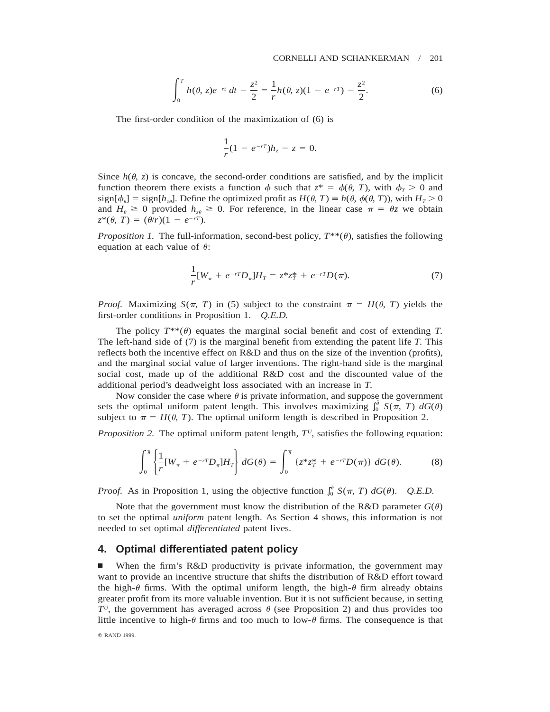$$
\int_0^T h(\theta, z)e^{-rt} dt - \frac{z^2}{2} = \frac{1}{r}h(\theta, z)(1 - e^{-rT}) - \frac{z^2}{2}.
$$
 (6)

The first-order condition of the maximization of (6) is

$$
\frac{1}{r}(1 - e^{-r})h_z - z = 0.
$$

Since  $h(\theta, z)$  is concave, the second-order conditions are satisfied, and by the implicit function theorem there exists a function  $\phi$  such that  $z^* = \phi(\theta, T)$ , with  $\phi_T > 0$  and  $sign[\phi_{\theta}] = sign[h_{z\theta}]$ . Define the optimized profit as  $H(\theta, T) \equiv h(\theta, \phi(\theta, T))$ , with  $H_T > 0$ and  $H_{\theta} \ge 0$  provided  $h_{z\theta} \ge 0$ . For reference, in the linear case  $\pi = \theta z$  we obtain  $z^*(\theta, T) = (\theta/r)(1 - e^{-rT}).$ 

*Proposition 1.* The full-information, second-best policy,  $T^{**}(\theta)$ , satisfies the following equation at each value of  $\theta$ :

$$
\frac{1}{r}[W_{\pi} + e^{-rT}D_{\pi}]H_T = z^*z_T^* + e^{-rT}D(\pi).
$$
\n(7)

*Proof.* Maximizing  $S(\pi, T)$  in (5) subject to the constraint  $\pi = H(\theta, T)$  yields the first-order conditions in Proposition 1. *Q.E.D.*

The policy  $T^{**}(\theta)$  equates the marginal social benefit and cost of extending *T*. The left-hand side of (7) is the marginal benefit from extending the patent life *T.* This reflects both the incentive effect on R&D and thus on the size of the invention (profits), and the marginal social value of larger inventions. The right-hand side is the marginal social cost, made up of the additional R&D cost and the discounted value of the additional period's deadweight loss associated with an increase in *T.*

Now consider the case where  $\theta$  is private information, and suppose the government sets the optimal uniform patent length. This involves maximizing  $\int_0^{\bar{\theta}} S(\pi, T) dG(\theta)$ subject to  $\pi = H(\theta, T)$ . The optimal uniform length is described in Proposition 2.

*Proposition 2.* The optimal uniform patent length,  $T<sup>U</sup>$ , satisfies the following equation:

$$
\int_0^{\overline{\theta}} \left\{ \frac{1}{r} [W_{\pi} + e^{-rT} D_{\pi}] H_T \right\} dG(\theta) = \int_0^{\overline{\theta}} \left\{ z^* z_T^* + e^{-rT} D(\pi) \right\} dG(\theta). \tag{8}
$$

*Proof.* As in Proposition 1, using the objective function  $\int_0^{\bar{\theta}} S(\pi, T) dG(\theta)$ . *Q.E.D.* 

Note that the government must know the distribution of the R&D parameter  $G(\theta)$ to set the optimal *uniform* patent length. As Section 4 shows, this information is not needed to set optimal *differentiated* patent lives.

# **4. Optimal differentiated patent policy**

When the firm's R&D productivity is private information, the government may want to provide an incentive structure that shifts the distribution of R&D effort toward the high- $\theta$  firms. With the optimal uniform length, the high- $\theta$  firm already obtains greater profit from its more valuable invention. But it is not sufficient because, in setting  $T^U$ , the government has averaged across  $\theta$  (see Proposition 2) and thus provides too little incentive to high- $\theta$  firms and too much to low- $\theta$  firms. The consequence is that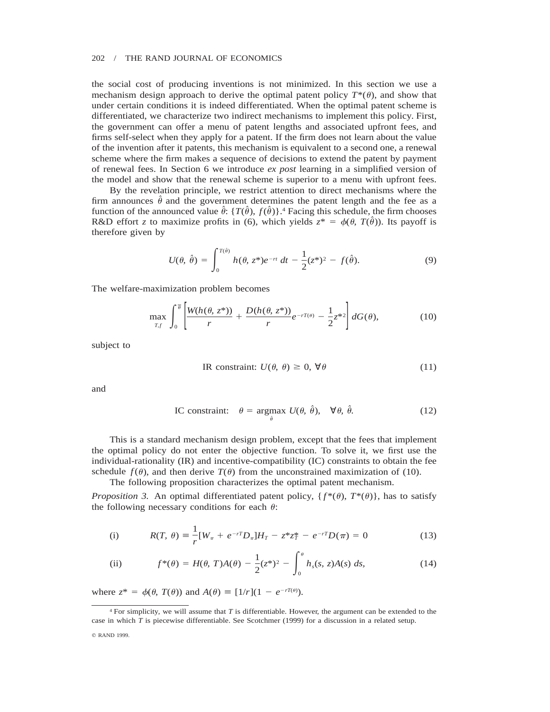the social cost of producing inventions is not minimized. In this section we use a mechanism design approach to derive the optimal patent policy  $T^*(\theta)$ , and show that under certain conditions it is indeed differentiated. When the optimal patent scheme is differentiated, we characterize two indirect mechanisms to implement this policy. First, the government can offer a menu of patent lengths and associated upfront fees, and firms self-select when they apply for a patent. If the firm does not learn about the value of the invention after it patents, this mechanism is equivalent to a second one, a renewal scheme where the firm makes a sequence of decisions to extend the patent by payment of renewal fees. In Section 6 we introduce *ex post* learning in a simplified version of the model and show that the renewal scheme is superior to a menu with upfront fees.

By the revelation principle, we restrict attention to direct mechanisms where the firm announces  $\theta$  and the government determines the patent length and the fee as a function of the announced value  $\hat{\theta}$ : { $T(\hat{\theta})$ ,  $f(\hat{\theta})$ }.<sup>4</sup> Facing this schedule, the firm chooses R&D effort *z* to maximize profits in (6), which yields  $z^* = \phi(\theta, T(\hat{\theta}))$ . Its payoff is therefore given by

$$
U(\theta, \hat{\theta}) = \int_0^{T(\hat{\theta})} h(\theta, z^*) e^{-rt} dt - \frac{1}{2} (z^*)^2 - f(\hat{\theta}).
$$
 (9)

The welfare-maximization problem becomes

$$
\max_{T,f} \int_0^{\overline{\theta}} \left[ \frac{W(h(\theta, z^*))}{r} + \frac{D(h(\theta, z^*))}{r} e^{-rT(\theta)} - \frac{1}{2} z^{*2} \right] dG(\theta), \tag{10}
$$

subject to

$$
IR constraint: U(\theta, \theta) \ge 0, \forall \theta
$$
\n(11)

and

IC constraint: 
$$
\theta = \underset{\hat{\theta}}{\text{argmax}} \ U(\theta, \hat{\theta}), \quad \forall \theta, \hat{\theta}.
$$
 (12)

This is a standard mechanism design problem, except that the fees that implement the optimal policy do not enter the objective function. To solve it, we first use the individual-rationality (IR) and incentive-compatibility (IC) constraints to obtain the fee schedule  $f(\theta)$ , and then derive  $T(\theta)$  from the unconstrained maximization of (10).

The following proposition characterizes the optimal patent mechanism.

*Proposition 3.* An optimal differentiated patent policy,  $\{f^*(\theta), T^*(\theta)\}$ , has to satisfy the following necessary conditions for each  $\theta$ :

(i) 
$$
R(T, \theta) = \frac{1}{r} [W_{\pi} + e^{-rT} D_{\pi}] H_T - z^* z_T^* - e^{-rT} D(\pi) = 0
$$
 (13)

(ii) 
$$
f^{*}(\theta) = H(\theta, T)A(\theta) - \frac{1}{2}(z^{*})^{2} - \int_{0}^{\theta} h_{s}(s, z)A(s) ds,
$$
 (14)

where  $z^* = \phi(\theta, T(\theta))$  and  $A(\theta) = [1/r](1 - e^{-rT(\theta)})$ .

<sup>4</sup> For simplicity, we will assume that *T* is differentiable. However, the argument can be extended to the case in which *T* is piecewise differentiable. See Scotchmer (1999) for a discussion in a related setup.

q RAND 1999.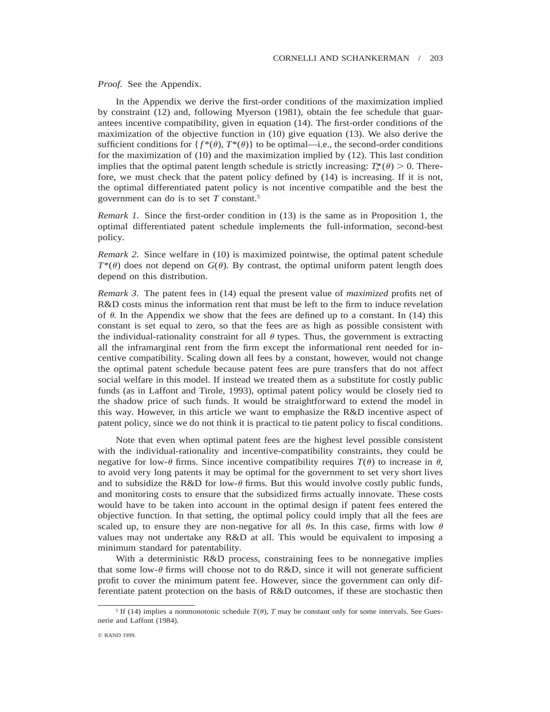*Proof.* See the Appendix.

In the Appendix we derive the first-order conditions of the maximization implied by constraint (12) and, following Myerson (1981), obtain the fee schedule that guarantees incentive compatibility, given in equation (14). The first-order conditions of the maximization of the objective function in (10) give equation (13). We also derive the sufficient conditions for  $\{f^*(\theta), T^*(\theta)\}\$ to be optimal—i.e., the second-order conditions for the maximization of (10) and the maximization implied by (12). This last condition implies that the optimal patent length schedule is strictly increasing:  $T^*_n(\theta) > 0$ . Therefore, we must check that the patent policy defined by (14) is increasing. If it is not, the optimal differentiated patent policy is not incentive compatible and the best the government can do is to set *T* constant.5

*Remark 1.* Since the first-order condition in (13) is the same as in Proposition 1, the optimal differentiated patent schedule implements the full-information, second-best policy.

*Remark 2.* Since welfare in (10) is maximized pointwise, the optimal patent schedule  $T^*(\theta)$  does not depend on  $G(\theta)$ . By contrast, the optimal uniform patent length does depend on this distribution.

*Remark 3.* The patent fees in (14) equal the present value of *maximized* profits net of R&D costs minus the information rent that must be left to the firm to induce revelation of  $\theta$ . In the Appendix we show that the fees are defined up to a constant. In (14) this constant is set equal to zero, so that the fees are as high as possible consistent with the individual-rationality constraint for all  $\theta$  types. Thus, the government is extracting all the inframarginal rent from the firm except the informational rent needed for incentive compatibility. Scaling down all fees by a constant, however, would not change the optimal patent schedule because patent fees are pure transfers that do not affect social welfare in this model. If instead we treated them as a substitute for costly public funds (as in Laffont and Tirole, 1993), optimal patent policy would be closely tied to the shadow price of such funds. It would be straightforward to extend the model in this way. However, in this article we want to emphasize the R&D incentive aspect of patent policy, since we do not think it is practical to tie patent policy to fiscal conditions.

Note that even when optimal patent fees are the highest level possible consistent with the individual-rationality and incentive-compatibility constraints, they could be negative for low- $\theta$  firms. Since incentive compatibility requires  $T(\theta)$  to increase in  $\theta$ , to avoid very long patents it may be optimal for the government to set very short lives and to subsidize the R&D for low- $\theta$  firms. But this would involve costly public funds, and monitoring costs to ensure that the subsidized firms actually innovate. These costs would have to be taken into account in the optimal design if patent fees entered the objective function. In that setting, the optimal policy could imply that all the fees are scaled up, to ensure they are non-negative for all  $\theta$ s. In this case, firms with low  $\theta$ values may not undertake any R&D at all. This would be equivalent to imposing a minimum standard for patentability.

With a deterministic R&D process, constraining fees to be nonnegative implies that some low- $\theta$  firms will choose not to do R&D, since it will not generate sufficient profit to cover the minimum patent fee. However, since the government can only differentiate patent protection on the basis of R&D outcomes, if these are stochastic then

<sup>&</sup>lt;sup>5</sup> If (14) implies a nonmonotonic schedule  $T(\theta)$ , *T* may be constant only for some intervals. See Guesnerie and Laffont (1984).

q RAND 1999.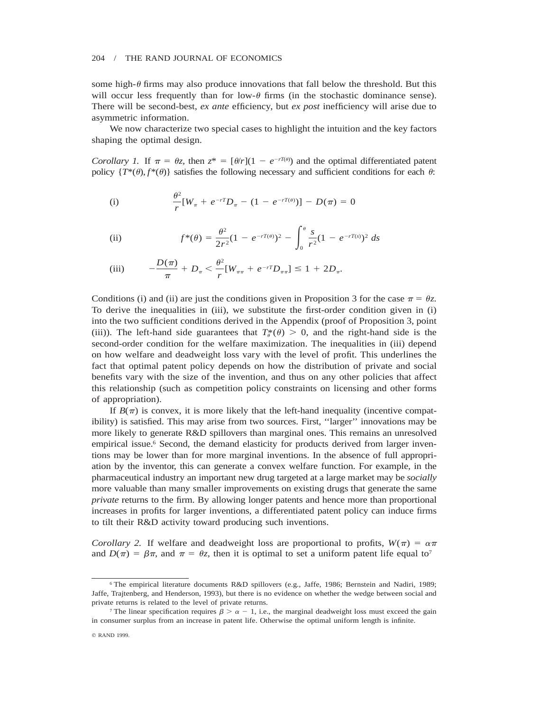some high- $\theta$  firms may also produce innovations that fall below the threshold. But this will occur less frequently than for low- $\theta$  firms (in the stochastic dominance sense). There will be second-best, *ex ante* efficiency, but *ex post* inefficiency will arise due to asymmetric information.

We now characterize two special cases to highlight the intuition and the key factors shaping the optimal design.

*Corollary 1.* If  $\pi = \theta z$ , then  $z^* = [\theta/r](1 - e^{-rT(\theta)})$  and the optimal differentiated patent policy  $\{T^*(\theta), f^*(\theta)\}\$  satisfies the following necessary and sufficient conditions for each  $\theta$ :

(i) 
$$
\frac{\theta^2}{r} [W_{\pi} + e^{-rT} D_{\pi} - (1 - e^{-rT(\theta)})] - D(\pi) = 0
$$

(ii) 
$$
f^{*}(\theta) = \frac{\theta^{2}}{2r^{2}}(1 - e^{-rT(\theta)})^{2} - \int_{0}^{\theta} \frac{s}{r^{2}}(1 - e^{-rT(s)})^{2} ds
$$

(iii) 
$$
-\frac{D(\pi)}{\pi} + D_{\pi} < \frac{\theta^2}{r} [W_{\pi\pi} + e^{-rT} D_{\pi\pi}] \le 1 + 2D_{\pi}.
$$

Conditions (i) and (ii) are just the conditions given in Proposition 3 for the case  $\pi = \theta z$ . To derive the inequalities in (iii), we substitute the first-order condition given in (i) into the two sufficient conditions derived in the Appendix (proof of Proposition 3, point (iii)). The left-hand side guarantees that  $T^*_{\sigma}(\theta) > 0$ , and the right-hand side is the second-order condition for the welfare maximization. The inequalities in (iii) depend on how welfare and deadweight loss vary with the level of profit. This underlines the fact that optimal patent policy depends on how the distribution of private and social benefits vary with the size of the invention, and thus on any other policies that affect this relationship (such as competition policy constraints on licensing and other forms of appropriation).

If  $B(\pi)$  is convex, it is more likely that the left-hand inequality (incentive compatibility) is satisfied. This may arise from two sources. First, ''larger'' innovations may be more likely to generate R&D spillovers than marginal ones. This remains an unresolved empirical issue.<sup>6</sup> Second, the demand elasticity for products derived from larger inventions may be lower than for more marginal inventions. In the absence of full appropriation by the inventor, this can generate a convex welfare function. For example, in the pharmaceutical industry an important new drug targeted at a large market may be *socially* more valuable than many smaller improvements on existing drugs that generate the same *private* returns to the firm. By allowing longer patents and hence more than proportional increases in profits for larger inventions, a differentiated patent policy can induce firms to tilt their R&D activity toward producing such inventions.

*Corollary 2.* If welfare and deadweight loss are proportional to profits,  $W(\pi) = \alpha \pi$ and  $D(\pi) = \beta \pi$ , and  $\pi = \theta z$ , then it is optimal to set a uniform patent life equal to<sup>7</sup>

<sup>6</sup> The empirical literature documents R&D spillovers (e.g., Jaffe, 1986; Bernstein and Nadiri, 1989; Jaffe, Trajtenberg, and Henderson, 1993), but there is no evidence on whether the wedge between social and private returns is related to the level of private returns.

<sup>&</sup>lt;sup>7</sup> The linear specification requires  $\beta > \alpha - 1$ , i.e., the marginal deadweight loss must exceed the gain in consumer surplus from an increase in patent life. Otherwise the optimal uniform length is infinite.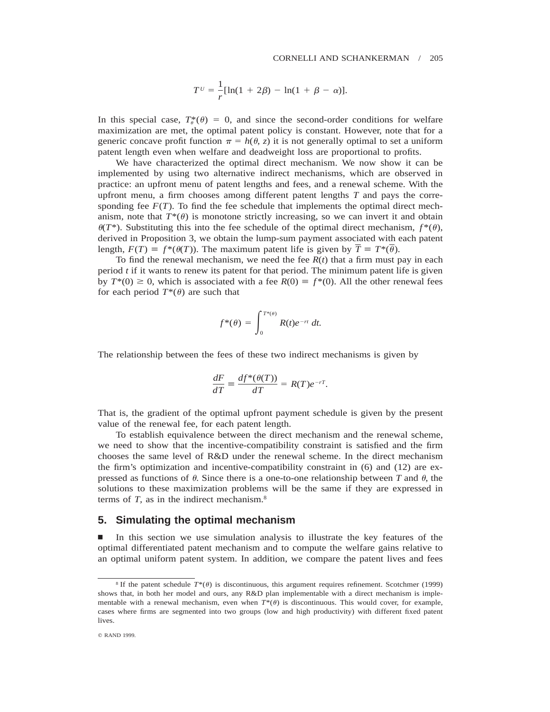$$
T^{U} = \frac{1}{r} [\ln(1 + 2\beta) - \ln(1 + \beta - \alpha)].
$$

In this special case,  $T^*_{\theta}(\theta) = 0$ , and since the second-order conditions for welfare maximization are met, the optimal patent policy is constant. However, note that for a generic concave profit function  $\pi = h(\theta, z)$  it is not generally optimal to set a uniform patent length even when welfare and deadweight loss are proportional to profits.

We have characterized the optimal direct mechanism. We now show it can be implemented by using two alternative indirect mechanisms, which are observed in practice: an upfront menu of patent lengths and fees, and a renewal scheme. With the upfront menu, a firm chooses among different patent lengths *T* and pays the corresponding fee  $F(T)$ . To find the fee schedule that implements the optimal direct mechanism, note that  $T^*(\theta)$  is monotone strictly increasing, so we can invert it and obtain  $\theta(T^*)$ . Substituting this into the fee schedule of the optimal direct mechanism,  $f^*(\theta)$ , derived in Proposition 3, we obtain the lump-sum payment associated with each patent length,  $F(T) = f^*(\theta(T))$ . The maximum patent life is given by  $\overline{T} = T^*(\overline{\theta})$ .

To find the renewal mechanism, we need the fee  $R(t)$  that a firm must pay in each period *t* if it wants to renew its patent for that period. The minimum patent life is given by  $T^*(0) \ge 0$ , which is associated with a fee  $R(0) \equiv f^*(0)$ . All the other renewal fees for each period  $T^*(\theta)$  are such that

$$
f^*(\theta) = \int_0^{T^*(\theta)} R(t)e^{-rt} dt.
$$

The relationship between the fees of these two indirect mechanisms is given by

$$
\frac{dF}{dT} \equiv \frac{df^*(\theta(T))}{dT} = R(T)e^{-rT}.
$$

That is, the gradient of the optimal upfront payment schedule is given by the present value of the renewal fee, for each patent length.

To establish equivalence between the direct mechanism and the renewal scheme, we need to show that the incentive-compatibility constraint is satisfied and the firm chooses the same level of R&D under the renewal scheme. In the direct mechanism the firm's optimization and incentive-compatibility constraint in (6) and (12) are expressed as functions of  $\theta$ . Since there is a one-to-one relationship between *T* and  $\theta$ , the solutions to these maximization problems will be the same if they are expressed in terms of *T,* as in the indirect mechanism.8

## **5. Simulating the optimal mechanism**

n In this section we use simulation analysis to illustrate the key features of the optimal differentiated patent mechanism and to compute the welfare gains relative to an optimal uniform patent system. In addition, we compare the patent lives and fees

<sup>&</sup>lt;sup>8</sup> If the patent schedule  $T^*(\theta)$  is discontinuous, this argument requires refinement. Scotchmer (1999) shows that, in both her model and ours, any R&D plan implementable with a direct mechanism is implementable with a renewal mechanism, even when  $T^*(\theta)$  is discontinuous. This would cover, for example, cases where firms are segmented into two groups (low and high productivity) with different fixed patent lives.

q RAND 1999.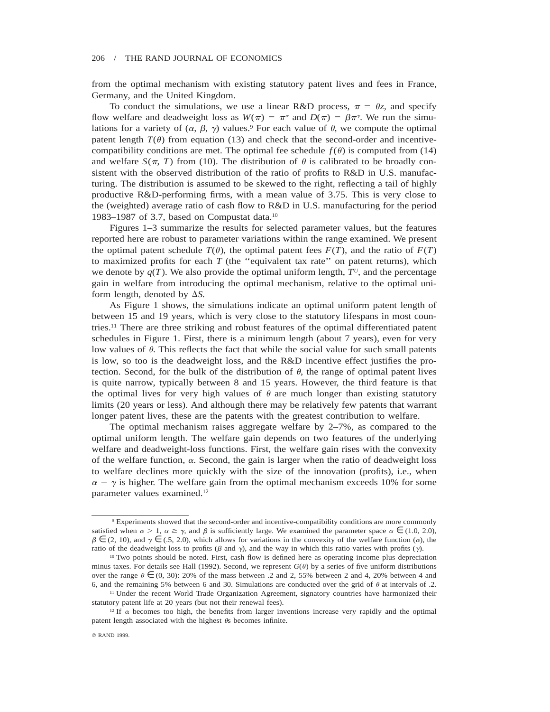from the optimal mechanism with existing statutory patent lives and fees in France, Germany, and the United Kingdom.

To conduct the simulations, we use a linear R&D process,  $\pi = \theta_{\mathcal{Z}}$ , and specify flow welfare and deadweight loss as  $W(\pi) = \pi^{\alpha}$  and  $D(\pi) = \beta \pi^{\gamma}$ . We run the simulations for a variety of  $(\alpha, \beta, \gamma)$  values.<sup>9</sup> For each value of  $\theta$ , we compute the optimal patent length  $T(\theta)$  from equation (13) and check that the second-order and incentivecompatibility conditions are met. The optimal fee schedule  $f(\theta)$  is computed from (14) and welfare  $S(\pi, T)$  from (10). The distribution of  $\theta$  is calibrated to be broadly consistent with the observed distribution of the ratio of profits to R&D in U.S. manufacturing. The distribution is assumed to be skewed to the right, reflecting a tail of highly productive R&D-performing firms, with a mean value of 3.75. This is very close to the (weighted) average ratio of cash flow to R&D in U.S. manufacturing for the period 1983–1987 of 3.7, based on Compustat data.10

Figures 1–3 summarize the results for selected parameter values, but the features reported here are robust to parameter variations within the range examined. We present the optimal patent schedule  $T(\theta)$ , the optimal patent fees  $F(T)$ , and the ratio of  $F(T)$ to maximized profits for each  $T$  (the "equivalent tax rate" on patent returns), which we denote by  $q(T)$ . We also provide the optimal uniform length,  $T^U$ , and the percentage gain in welfare from introducing the optimal mechanism, relative to the optimal uniform length, denoted by  $\Delta S$ .

As Figure 1 shows, the simulations indicate an optimal uniform patent length of between 15 and 19 years, which is very close to the statutory lifespans in most countries.11 There are three striking and robust features of the optimal differentiated patent schedules in Figure 1. First, there is a minimum length (about 7 years), even for very low values of  $\theta$ . This reflects the fact that while the social value for such small patents is low, so too is the deadweight loss, and the R&D incentive effect justifies the protection. Second, for the bulk of the distribution of  $\theta$ , the range of optimal patent lives is quite narrow, typically between 8 and 15 years. However, the third feature is that the optimal lives for very high values of  $\theta$  are much longer than existing statutory limits (20 years or less). And although there may be relatively few patents that warrant longer patent lives, these are the patents with the greatest contribution to welfare.

The optimal mechanism raises aggregate welfare by 2–7%, as compared to the optimal uniform length. The welfare gain depends on two features of the underlying welfare and deadweight-loss functions. First, the welfare gain rises with the convexity of the welfare function,  $\alpha$ . Second, the gain is larger when the ratio of deadweight loss to welfare declines more quickly with the size of the innovation (profits), i.e., when  $\alpha - \gamma$  is higher. The welfare gain from the optimal mechanism exceeds 10% for some parameter values examined.12

<sup>9</sup> Experiments showed that the second-order and incentive-compatibility conditions are more commonly satisfied when  $\alpha > 1$ ,  $\alpha \ge \gamma$ , and  $\beta$  is sufficiently large. We examined the parameter space  $\alpha \in (1.0, 2.0)$ ,  $\beta \in (2, 10)$ , and  $\gamma \in (0.5, 2.0)$ , which allows for variations in the convexity of the welfare function  $(\alpha)$ , the ratio of the deadweight loss to profits ( $\beta$  and  $\gamma$ ), and the way in which this ratio varies with profits ( $\gamma$ ).

<sup>&</sup>lt;sup>10</sup> Two points should be noted. First, cash flow is defined here as operating income plus depreciation minus taxes. For details see Hall (1992). Second, we represent  $G(\theta)$  by a series of five uniform distributions over the range  $\theta \in (0, 30)$ : 20% of the mass between .2 and 2, 55% between 2 and 4, 20% between 4 and 6, and the remaining 5% between 6 and 30. Simulations are conducted over the grid of  $\theta$  at intervals of .2.

<sup>&</sup>lt;sup>11</sup> Under the recent World Trade Organization Agreement, signatory countries have harmonized their statutory patent life at 20 years (but not their renewal fees).

<sup>&</sup>lt;sup>12</sup> If  $\alpha$  becomes too high, the benefits from larger inventions increase very rapidly and the optimal patent length associated with the highest  $\theta$ s becomes infinite.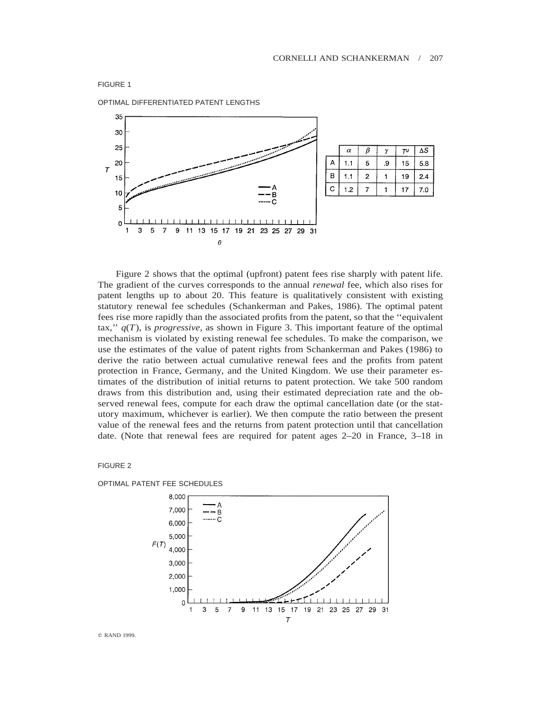

OPTIMAL DIFFERENTIATED PATENT LENGTHS



Figure 2 shows that the optimal (upfront) patent fees rise sharply with patent life. The gradient of the curves corresponds to the annual *renewal* fee, which also rises for patent lengths up to about 20. This feature is qualitatively consistent with existing statutory renewal fee schedules (Schankerman and Pakes, 1986). The optimal patent fees rise more rapidly than the associated profits from the patent, so that the ''equivalent tax,"  $q(T)$ , is *progressive*, as shown in Figure 3. This important feature of the optimal mechanism is violated by existing renewal fee schedules. To make the comparison, we use the estimates of the value of patent rights from Schankerman and Pakes (1986) to derive the ratio between actual cumulative renewal fees and the profits from patent protection in France, Germany, and the United Kingdom. We use their parameter estimates of the distribution of initial returns to patent protection. We take 500 random draws from this distribution and, using their estimated depreciation rate and the observed renewal fees, compute for each draw the optimal cancellation date (or the statutory maximum, whichever is earlier). We then compute the ratio between the present value of the renewal fees and the returns from patent protection until that cancellation date. (Note that renewal fees are required for patent ages 2–20 in France, 3–18 in

## FIGURE 2



OPTIMAL PATENT FEE SCHEDULES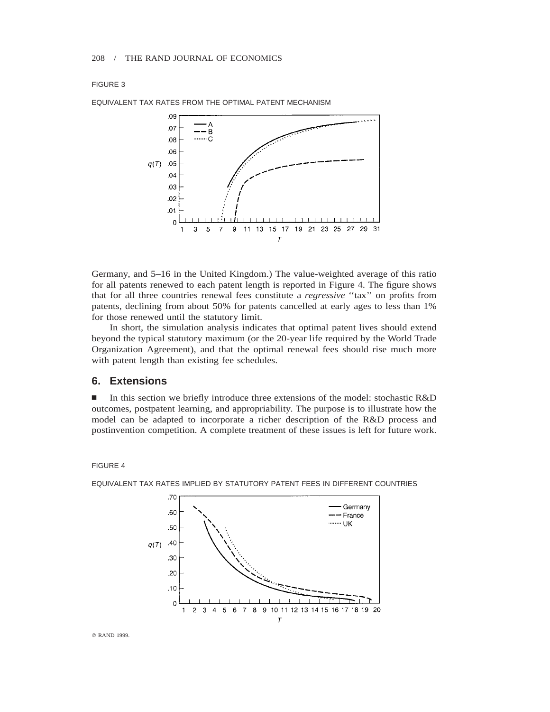## FIGURE 3



EQUIVALENT TAX RATES FROM THE OPTIMAL PATENT MECHANISM

Germany, and 5–16 in the United Kingdom.) The value-weighted average of this ratio for all patents renewed to each patent length is reported in Figure 4. The figure shows that for all three countries renewal fees constitute a *regressive* ''tax'' on profits from patents, declining from about 50% for patents cancelled at early ages to less than 1% for those renewed until the statutory limit.

In short, the simulation analysis indicates that optimal patent lives should extend beyond the typical statutory maximum (or the 20-year life required by the World Trade Organization Agreement), and that the optimal renewal fees should rise much more with patent length than existing fee schedules.

## **6. Extensions**

In this section we briefly introduce three extensions of the model: stochastic  $R&D$ outcomes, postpatent learning, and appropriability. The purpose is to illustrate how the model can be adapted to incorporate a richer description of the R&D process and postinvention competition. A complete treatment of these issues is left for future work.

## FIGURE 4



EQUIVALENT TAX RATES IMPLIED BY STATUTORY PATENT FEES IN DIFFERENT COUNTRIES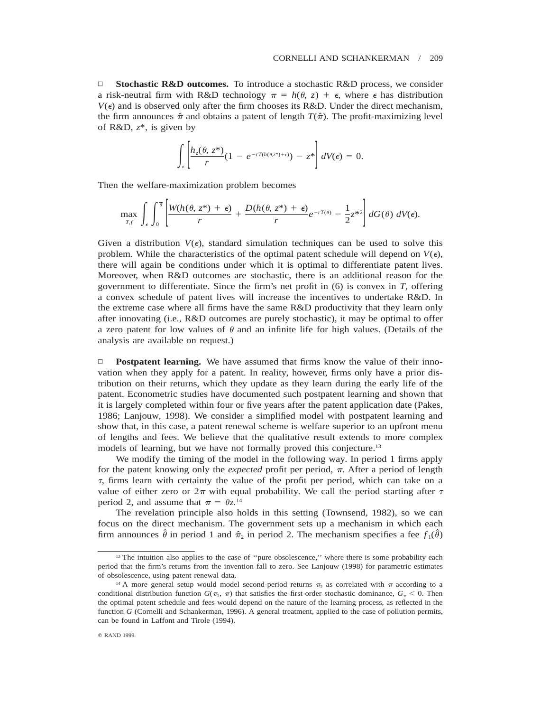□ **Stochastic R&D outcomes.** To introduce a stochastic R&D process, we consider a risk-neutral firm with R&D technology  $\pi = h(\theta, z) + \epsilon$ , where  $\epsilon$  has distribution  $V(\epsilon)$  and is observed only after the firm chooses its R&D. Under the direct mechanism, the firm announces  $\hat{\pi}$  and obtains a patent of length  $T(\hat{\pi})$ . The profit-maximizing level of R&D, *z*\*, is given by

$$
\int_{\epsilon} \left[ \frac{h_z(\theta, z^*)}{r} (1 - e^{-rT(h(\theta, z^*) + \epsilon)}) - z^* \right] dV(\epsilon) = 0.
$$

Then the welfare-maximization problem becomes

$$
\max_{T,f}\,\int_{\epsilon}\,\int_0^{\overline{\theta}}\left[\frac{W(h(\theta,\,z^*)+\epsilon)}{r}+\frac{D(h(\theta,\,z^*)+\epsilon)}{r}e^{-rT(\theta)}-\frac{1}{2}z^{*2}\right]dG(\theta)\,dV(\epsilon).
$$

Given a distribution  $V(\epsilon)$ , standard simulation techniques can be used to solve this problem. While the characteristics of the optimal patent schedule will depend on  $V(\epsilon)$ , there will again be conditions under which it is optimal to differentiate patent lives. Moreover, when R&D outcomes are stochastic, there is an additional reason for the government to differentiate. Since the firm's net profit in (6) is convex in *T,* offering a convex schedule of patent lives will increase the incentives to undertake R&D. In the extreme case where all firms have the same R&D productivity that they learn only after innovating (i.e., R&D outcomes are purely stochastic), it may be optimal to offer a zero patent for low values of  $\theta$  and an infinite life for high values. (Details of the analysis are available on request.)

□ **Postpatent learning.** We have assumed that firms know the value of their innovation when they apply for a patent. In reality, however, firms only have a prior distribution on their returns, which they update as they learn during the early life of the patent. Econometric studies have documented such postpatent learning and shown that it is largely completed within four or five years after the patent application date (Pakes, 1986; Lanjouw, 1998). We consider a simplified model with postpatent learning and show that, in this case, a patent renewal scheme is welfare superior to an upfront menu of lengths and fees. We believe that the qualitative result extends to more complex models of learning, but we have not formally proved this conjecture.<sup>13</sup>

We modify the timing of the model in the following way. In period 1 firms apply for the patent knowing only the *expected* profit per period,  $\pi$ . After a period of length  $\tau$ , firms learn with certainty the value of the profit per period, which can take on a value of either zero or  $2\pi$  with equal probability. We call the period starting after  $\tau$ period 2, and assume that  $\pi = \theta z^{14}$ 

The revelation principle also holds in this setting (Townsend, 1982), so we can focus on the direct mechanism. The government sets up a mechanism in which each firm announces  $\hat{\theta}$  in period 1 and  $\hat{\pi}_2$  in period 2. The mechanism specifies a fee  $f_1(\hat{\theta})$ 

<sup>&</sup>lt;sup>13</sup> The intuition also applies to the case of "pure obsolescence," where there is some probability each period that the firm's returns from the invention fall to zero. See Lanjouw (1998) for parametric estimates of obsolescence, using patent renewal data.

<sup>&</sup>lt;sup>14</sup> A more general setup would model second-period returns  $\pi_2$  as correlated with  $\pi$  according to a conditional distribution function  $G(\pi_2, \pi)$  that satisfies the first-order stochastic dominance,  $G_\pi < 0$ . Then the optimal patent schedule and fees would depend on the nature of the learning process, as reflected in the function *G* (Cornelli and Schankerman, 1996). A general treatment, applied to the case of pollution permits, can be found in Laffont and Tirole (1994).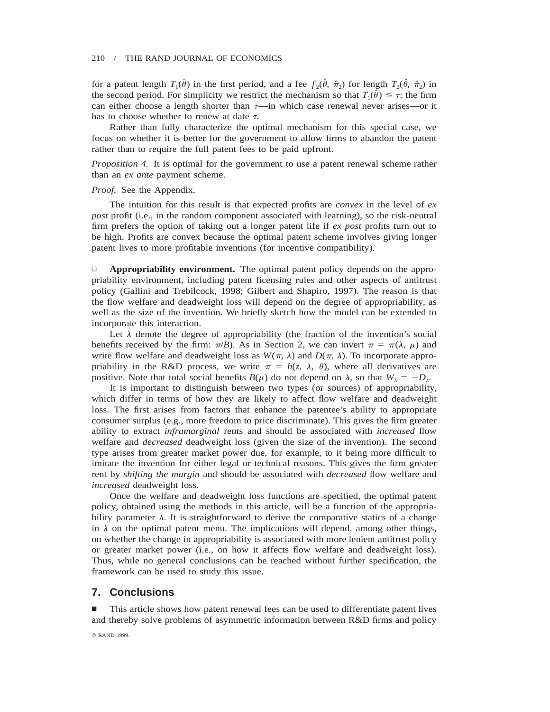for a patent length  $T_1(\hat{\theta})$  in the first period, and a fee  $f_2(\hat{\theta}, \hat{\pi}_2)$  for length  $T_2(\hat{\theta}, \hat{\pi}_2)$  in the second period. For simplicity we restrict the mechanism so that  $T_1(\hat{\theta}) \leq \tau$ : the firm can either choose a length shorter than  $\tau$ —in which case renewal never arises—or it has to choose whether to renew at date  $\tau$ .

Rather than fully characterize the optimal mechanism for this special case, we focus on whether it is better for the government to allow firms to abandon the patent rather than to require the full patent fees to be paid upfront.

*Proposition 4.* It is optimal for the government to use a patent renewal scheme rather than an *ex ante* payment scheme.

### *Proof.* See the Appendix.

The intuition for this result is that expected profits are *convex* in the level of *ex post* profit (i.e., in the random component associated with learning), so the risk-neutral firm prefers the option of taking out a longer patent life if *ex post* profits turn out to be high. Profits are convex because the optimal patent scheme involves giving longer patent lives to more profitable inventions (for incentive compatibility).

□ **Appropriability environment.** The optimal patent policy depends on the appropriability environment, including patent licensing rules and other aspects of antitrust policy (Gallini and Trebilcock, 1998; Gilbert and Shapiro, 1997). The reason is that the flow welfare and deadweight loss will depend on the degree of appropriability, as well as the size of the invention. We briefly sketch how the model can be extended to incorporate this interaction.

Let  $\lambda$  denote the degree of appropriability (the fraction of the invention's social benefits received by the firm:  $\pi/B$ ). As in Section 2, we can invert  $\pi = \pi(\lambda, \mu)$  and write flow welfare and deadweight loss as  $W(\pi, \lambda)$  and  $D(\pi, \lambda)$ . To incorporate appropriability in the R&D process, we write  $\pi = h(z, \lambda, \theta)$ , where all derivatives are positive. Note that total social benefits  $B(\mu)$  do not depend on  $\lambda$ , so that  $W_{\lambda} = -D_{\lambda}$ .

It is important to distinguish between two types (or sources) of appropriability, which differ in terms of how they are likely to affect flow welfare and deadweight loss. The first arises from factors that enhance the patentee's ability to appropriate consumer surplus (e.g., more freedom to price discriminate). This gives the firm greater ability to extract *inframarginal* rents and should be associated with *increased* flow welfare and *decreased* deadweight loss (given the size of the invention). The second type arises from greater market power due, for example, to it being more difficult to imitate the invention for either legal or technical reasons. This gives the firm greater rent by *shifting the margin* and should be associated with *decreased* flow welfare and *increased* deadweight loss.

Once the welfare and deadweight loss functions are specified, the optimal patent policy, obtained using the methods in this article, will be a function of the appropriability parameter  $\lambda$ . It is straightforward to derive the comparative statics of a change in  $\lambda$  on the optimal patent menu. The implications will depend, among other things, on whether the change in appropriability is associated with more lenient antitrust policy or greater market power (i.e., on how it affects flow welfare and deadweight loss). Thus, while no general conclusions can be reached without further specification, the framework can be used to study this issue.

# **7. Conclusions**

n This article shows how patent renewal fees can be used to differentiate patent lives and thereby solve problems of asymmetric information between R&D firms and policy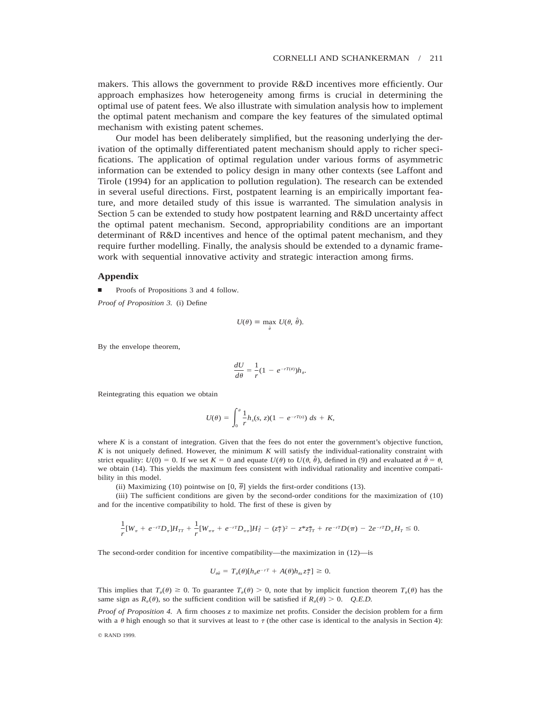makers. This allows the government to provide R&D incentives more efficiently. Our approach emphasizes how heterogeneity among firms is crucial in determining the optimal use of patent fees. We also illustrate with simulation analysis how to implement the optimal patent mechanism and compare the key features of the simulated optimal mechanism with existing patent schemes.

Our model has been deliberately simplified, but the reasoning underlying the derivation of the optimally differentiated patent mechanism should apply to richer specifications. The application of optimal regulation under various forms of asymmetric information can be extended to policy design in many other contexts (see Laffont and Tirole (1994) for an application to pollution regulation). The research can be extended in several useful directions. First, postpatent learning is an empirically important feature, and more detailed study of this issue is warranted. The simulation analysis in Section 5 can be extended to study how postpatent learning and R&D uncertainty affect the optimal patent mechanism. Second, appropriability conditions are an important determinant of R&D incentives and hence of the optimal patent mechanism, and they require further modelling. Finally, the analysis should be extended to a dynamic framework with sequential innovative activity and strategic interaction among firms.

## **Appendix**

Proofs of Propositions 3 and 4 follow.

*Proof of Proposition 3.* (i) Define

$$
U(\theta) \equiv \max_{\hat{\theta}} \ U(\theta, \hat{\theta}).
$$

By the envelope theorem,

$$
\frac{dU}{d\theta} = \frac{1}{r}(1 - e^{-rT(\theta)})h_{\theta}.
$$

Reintegrating this equation we obtain

$$
U(\theta) = \int_0^{\theta} \frac{1}{r} h_s(s, z)(1 - e^{-rT(s)}) \, ds + K,
$$

where  $K$  is a constant of integration. Given that the fees do not enter the government's objective function, *K* is not uniquely defined. However, the minimum *K* will satisfy the individual-rationality constraint with strict equality:  $U(0) = 0$ . If we set  $K = 0$  and equate  $U(\theta)$  to  $U(\theta, \hat{\theta})$ , defined in (9) and evaluated at  $\hat{\theta} = \theta$ , we obtain (14). This yields the maximum fees consistent with individual rationality and incentive compatibility in this model.

(ii) Maximizing (10) pointwise on [0,  $\overline{\theta}$ ] yields the first-order conditions (13).

(iii) The sufficient conditions are given by the second-order conditions for the maximization of (10) and for the incentive compatibility to hold. The first of these is given by

$$
\frac{1}{r}[W_{\pi} + e^{-rT}D_{\pi}]H_{TT} + \frac{1}{r}[W_{\pi\pi} + e^{-rT}D_{\pi\pi}]H_{T}^{2} - (z_{T}^{*})^{2} - z^{*}z_{TT}^{*} + re^{-rT}D(\pi) - 2e^{-rT}D_{\pi}H_{T} \leq 0.
$$

The second-order condition for incentive compatibility—the maximization in (12)—is

$$
U_{\theta\hat{\theta}} = T_{\theta}(\theta)[h_{\theta}e^{-rT} + A(\theta)h_{\theta z}z_T^*] \geq 0.
$$

This implies that  $T_{\theta}(\theta) \ge 0$ . To guarantee  $T_{\theta}(\theta) > 0$ , note that by implicit function theorem  $T_{\theta}(\theta)$  has the same sign as  $R_{\theta}(\theta)$ , so the sufficient condition will be satisfied if  $R_{\theta}(\theta) > 0$ . *Q.E.D.* 

*Proof of Proposition 4.* A firm chooses *z* to maximize net profits. Consider the decision problem for a firm with a  $\theta$  high enough so that it survives at least to  $\tau$  (the other case is identical to the analysis in Section 4):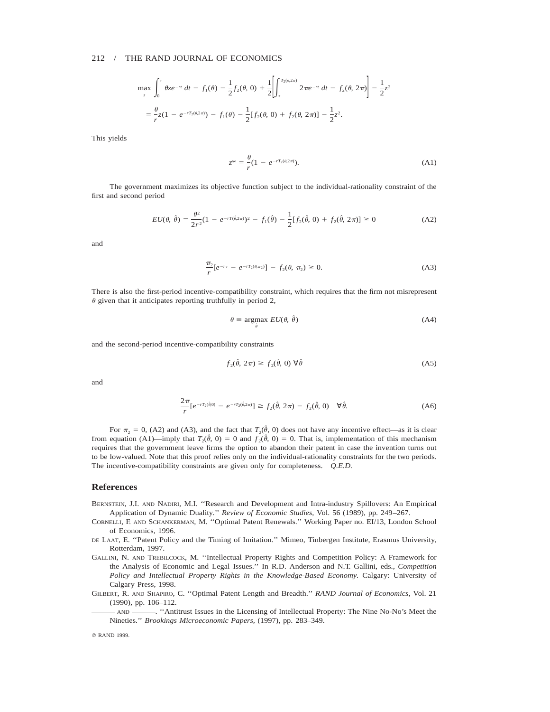$$
\max_{z} \int_{0}^{\tau} \theta z e^{-rt} dt - f_{1}(\theta) - \frac{1}{2} f_{2}(\theta, 0) + \frac{1}{2} \left[ \int_{\tau}^{T_{2}(\theta, 2\pi)} 2\pi e^{-rt} dt - f_{2}(\theta, 2\pi) \right] - \frac{1}{2} z^{2}
$$

$$
= \frac{\theta}{r} z (1 - e^{-rT_{2}(\theta, 2\pi)}) - f_{1}(\theta) - \frac{1}{2} [f_{2}(\theta, 0) + f_{2}(\theta, 2\pi)] - \frac{1}{2} z^{2}.
$$

This yields

$$
z^* = \frac{\theta}{r} (1 - e^{-rT_2(\theta, 2\pi)}).
$$
 (A1)

The government maximizes its objective function subject to the individual-rationality constraint of the first and second period

$$
EU(\theta, \hat{\theta}) = \frac{\theta^2}{2r^2} (1 - e^{-rT(\hat{\theta}, 2\pi)})^2 - f_1(\hat{\theta}) - \frac{1}{2} [f_2(\hat{\theta}, 0) + f_2(\hat{\theta}, 2\pi)] \ge 0
$$
 (A2)

and

$$
\frac{\pi_2}{r} [e^{-r\tau} - e^{-rT_2(\theta, \pi_2)}] - f_2(\theta, \pi_2) \ge 0.
$$
 (A3)

There is also the first-period incentive-compatibility constraint, which requires that the firm not misrepresent  $\theta$  given that it anticipates reporting truthfully in period 2,

u*ˆ*

$$
\theta \equiv \text{argmax } EU(\theta, \hat{\theta}) \tag{A4}
$$

and the second-period incentive-compatibility constraints

$$
f_2(\hat{\theta}, 2\pi) \ge f_2(\hat{\theta}, 0) \,\forall \hat{\theta} \tag{A5}
$$

and

$$
\frac{2\pi}{r}[e^{-rT_2(\hat{\theta},0)} - e^{-rT_2(\hat{\theta},2\pi)}] \ge f_2(\hat{\theta}, 2\pi) - f_2(\hat{\theta}, 0) \quad \forall \hat{\theta}.\tag{A6}
$$

For  $\pi_2 = 0$ , (A2) and (A3), and the fact that  $T_2(\hat{\theta}, 0)$  does not have any incentive effect—as it is clear from equation (A1)—imply that  $T_2(\hat{\theta}, 0) = 0$  and  $f_2(\hat{\theta}, 0) = 0$ . That is, implementation of this mechanism requires that the government leave firms the option to abandon their patent in case the invention turns out to be low-valued. Note that this proof relies only on the individual-rationality constraints for the two periods. The incentive-compatibility constraints are given only for completeness. *Q.E.D.*

#### **References**

- BERNSTEIN, J.I. AND NADIRI, M.I. ''Research and Development and Intra-industry Spillovers: An Empirical Application of Dynamic Duality.'' *Review of Economic Studies,* Vol. 56 (1989), pp. 249–267.
- CORNELLI, F. AND SCHANKERMAN, M. ''Optimal Patent Renewals.'' Working Paper no. EI/13, London School of Economics, 1996.
- DE LAAT, E. ''Patent Policy and the Timing of Imitation.'' Mimeo, Tinbergen Institute, Erasmus University, Rotterdam, 1997.
- GALLINI, N. AND TREBILCOCK, M. ''Intellectual Property Rights and Competition Policy: A Framework for the Analysis of Economic and Legal Issues.'' In R.D. Anderson and N.T. Gallini, eds., *Competition Policy and Intellectual Property Rights in the Knowledge-Based Economy.* Calgary: University of Calgary Press, 1998.
- GILBERT, R. AND SHAPIRO, C. ''Optimal Patent Length and Breadth.'' *RAND Journal of Economics,* Vol. 21 (1990), pp. 106–112.
	- AND . "Antitrust Issues in the Licensing of Intellectual Property: The Nine No-No's Meet the Nineties.'' *Brookings Microeconomic Papers,* (1997), pp. 283–349.

<sup>©</sup> RAND 1999.